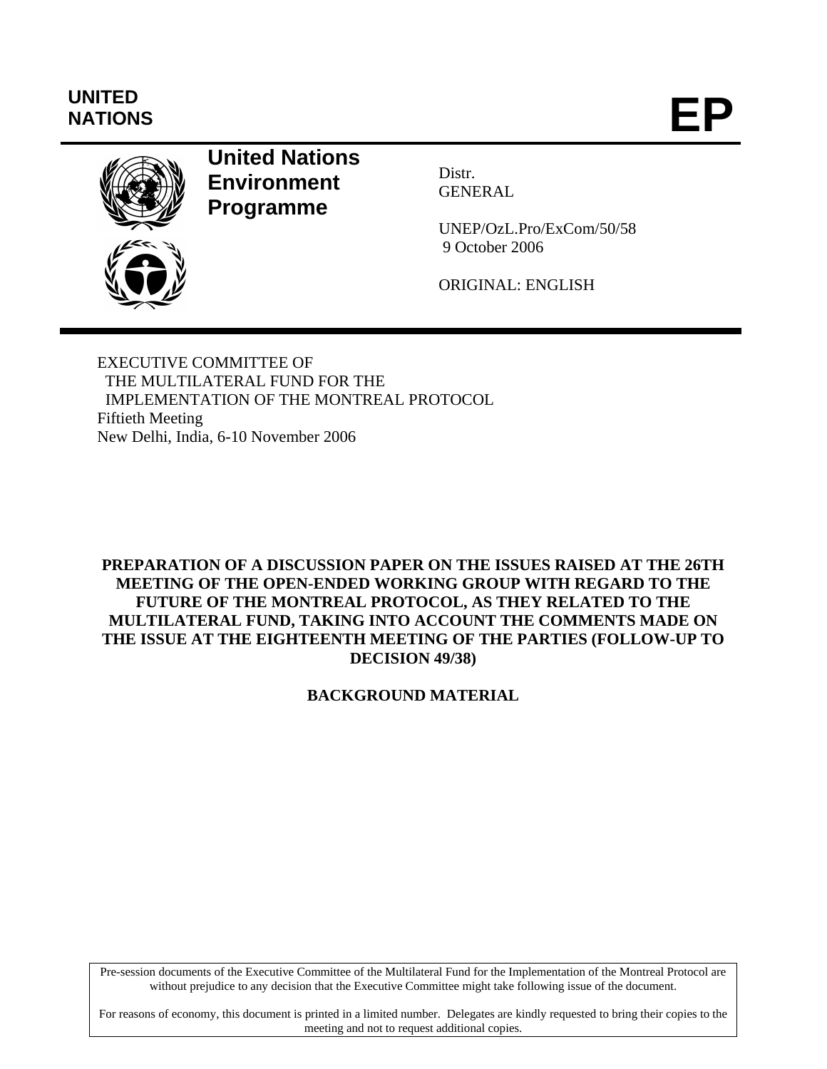# **UNITED**  UNITED<br>NATIONS **EP**



## **United Nations Environment Programme**

Distr. GENERAL

UNEP/OzL.Pro/ExCom/50/58 9 October 2006

ORIGINAL: ENGLISH

EXECUTIVE COMMITTEE OF THE MULTILATERAL FUND FOR THE IMPLEMENTATION OF THE MONTREAL PROTOCOL Fiftieth Meeting New Delhi, India, 6-10 November 2006

**PREPARATION OF A DISCUSSION PAPER ON THE ISSUES RAISED AT THE 26TH MEETING OF THE OPEN-ENDED WORKING GROUP WITH REGARD TO THE FUTURE OF THE MONTREAL PROTOCOL, AS THEY RELATED TO THE MULTILATERAL FUND, TAKING INTO ACCOUNT THE COMMENTS MADE ON THE ISSUE AT THE EIGHTEENTH MEETING OF THE PARTIES (FOLLOW-UP TO DECISION 49/38)** 

**BACKGROUND MATERIAL** 

Pre-session documents of the Executive Committee of the Multilateral Fund for the Implementation of the Montreal Protocol are without prejudice to any decision that the Executive Committee might take following issue of the document.

For reasons of economy, this document is printed in a limited number. Delegates are kindly requested to bring their copies to the meeting and not to request additional copies.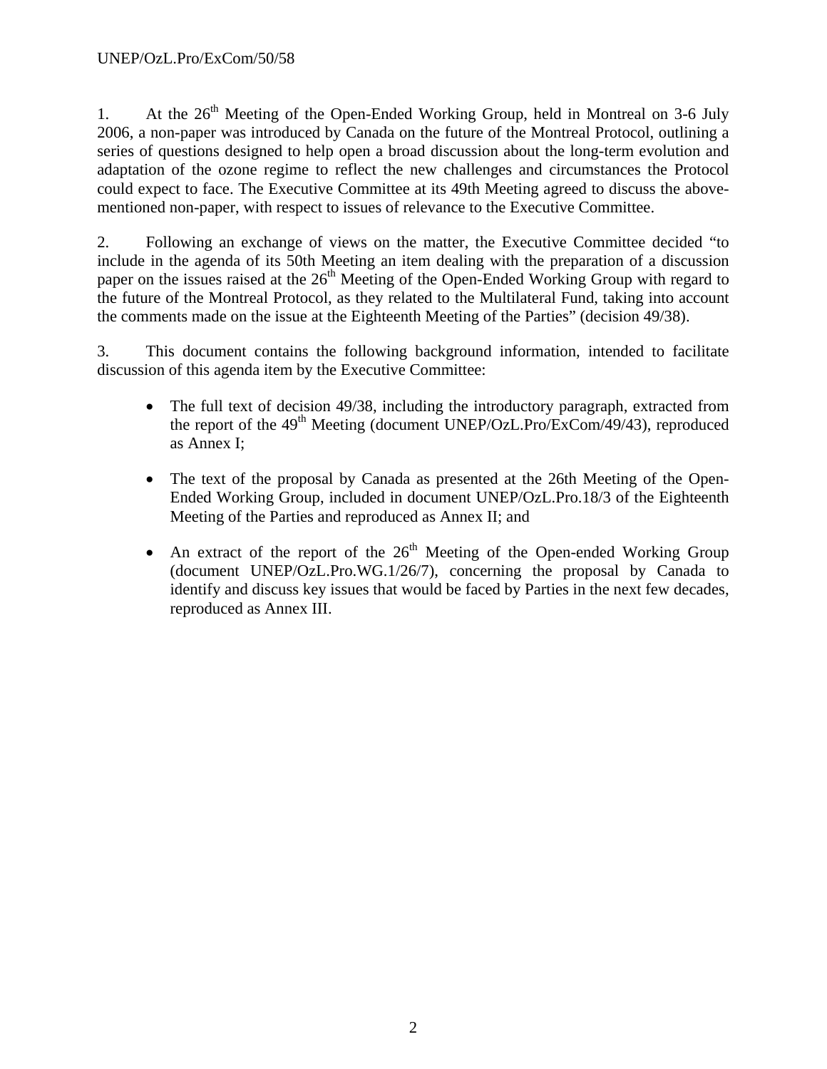1. At the  $26<sup>th</sup>$  Meeting of the Open-Ended Working Group, held in Montreal on 3-6 July 2006, a non-paper was introduced by Canada on the future of the Montreal Protocol, outlining a series of questions designed to help open a broad discussion about the long-term evolution and adaptation of the ozone regime to reflect the new challenges and circumstances the Protocol could expect to face. The Executive Committee at its 49th Meeting agreed to discuss the abovementioned non-paper, with respect to issues of relevance to the Executive Committee.

2. Following an exchange of views on the matter, the Executive Committee decided "to include in the agenda of its 50th Meeting an item dealing with the preparation of a discussion paper on the issues raised at the  $26<sup>th</sup>$  Meeting of the Open-Ended Working Group with regard to the future of the Montreal Protocol, as they related to the Multilateral Fund, taking into account the comments made on the issue at the Eighteenth Meeting of the Parties" (decision 49/38).

3. This document contains the following background information, intended to facilitate discussion of this agenda item by the Executive Committee:

- The full text of decision 49/38, including the introductory paragraph, extracted from the report of the  $49<sup>th</sup>$  Meeting (document UNEP/OzL.Pro/ExCom/49/43), reproduced as Annex I;
- The text of the proposal by Canada as presented at the 26th Meeting of the Open-Ended Working Group, included in document UNEP/OzL.Pro.18/3 of the Eighteenth Meeting of the Parties and reproduced as Annex II; and
- An extract of the report of the  $26<sup>th</sup>$  Meeting of the Open-ended Working Group (document UNEP/OzL.Pro.WG.1/26/7), concerning the proposal by Canada to identify and discuss key issues that would be faced by Parties in the next few decades, reproduced as Annex III.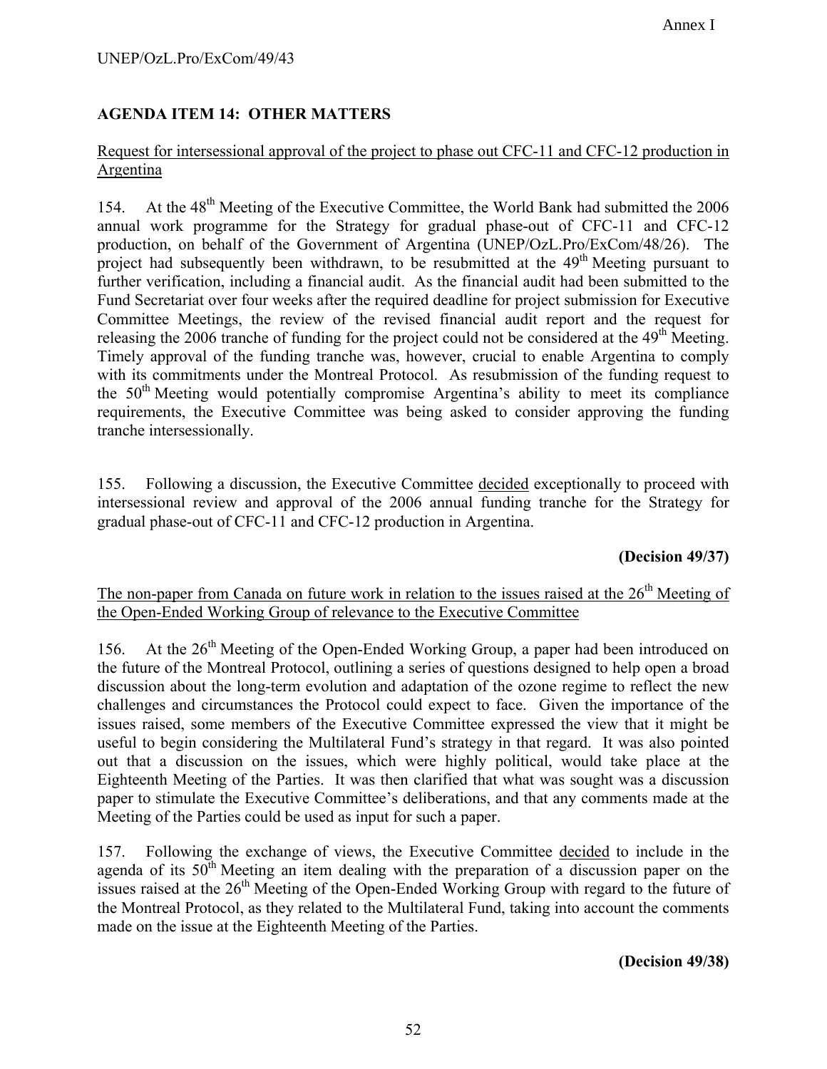### **AGENDA ITEM 14: OTHER MATTERS**

### Request for intersessional approval of the project to phase out CFC-11 and CFC-12 production in Argentina

154. At the 48<sup>th</sup> Meeting of the Executive Committee, the World Bank had submitted the 2006 annual work programme for the Strategy for gradual phase-out of CFC-11 and CFC-12 production, on behalf of the Government of Argentina (UNEP/OzL.Pro/ExCom/48/26). The project had subsequently been withdrawn, to be resubmitted at the  $49<sup>th</sup>$  Meeting pursuant to further verification, including a financial audit. As the financial audit had been submitted to the Fund Secretariat over four weeks after the required deadline for project submission for Executive Committee Meetings, the review of the revised financial audit report and the request for releasing the 2006 tranche of funding for the project could not be considered at the  $49<sup>th</sup>$  Meeting. Timely approval of the funding tranche was, however, crucial to enable Argentina to comply with its commitments under the Montreal Protocol. As resubmission of the funding request to the  $50<sup>th</sup>$  Meeting would potentially compromise Argentina's ability to meet its compliance requirements, the Executive Committee was being asked to consider approving the funding tranche intersessionally.

155. Following a discussion, the Executive Committee decided exceptionally to proceed with intersessional review and approval of the 2006 annual funding tranche for the Strategy for gradual phase-out of CFC-11 and CFC-12 production in Argentina.

### **(Decision 49/37)**

### The non-paper from Canada on future work in relation to the issues raised at the  $26<sup>th</sup>$  Meeting of the Open-Ended Working Group of relevance to the Executive Committee

156. At the 26<sup>th</sup> Meeting of the Open-Ended Working Group, a paper had been introduced on the future of the Montreal Protocol, outlining a series of questions designed to help open a broad discussion about the long-term evolution and adaptation of the ozone regime to reflect the new challenges and circumstances the Protocol could expect to face. Given the importance of the issues raised, some members of the Executive Committee expressed the view that it might be useful to begin considering the Multilateral Fund's strategy in that regard. It was also pointed out that a discussion on the issues, which were highly political, would take place at the Eighteenth Meeting of the Parties. It was then clarified that what was sought was a discussion paper to stimulate the Executive Committee's deliberations, and that any comments made at the Meeting of the Parties could be used as input for such a paper.

157. Following the exchange of views, the Executive Committee decided to include in the agenda of its  $50<sup>th</sup>$  Meeting an item dealing with the preparation of a discussion paper on the issues raised at the  $26<sup>th</sup>$  Meeting of the Open-Ended Working Group with regard to the future of the Montreal Protocol, as they related to the Multilateral Fund, taking into account the comments made on the issue at the Eighteenth Meeting of the Parties.

**(Decision 49/38)**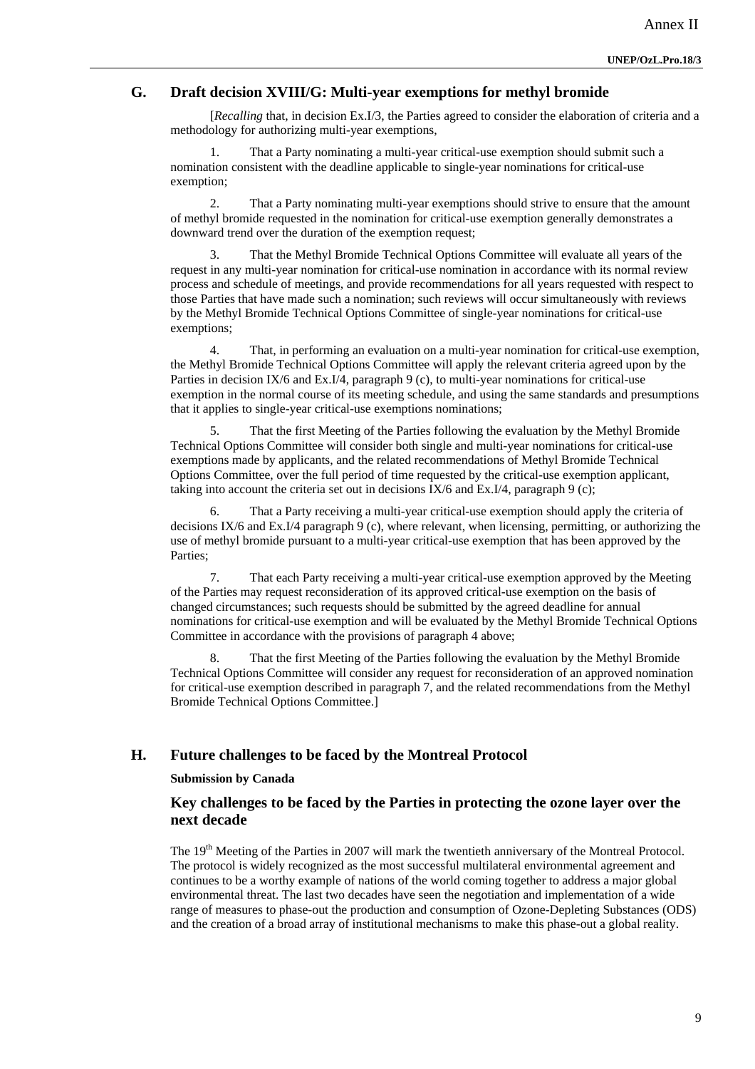### **G. Draft decision XVIII/G: Multi-year exemptions for methyl bromide**

[*Recalling* that, in decision Ex.I/3, the Parties agreed to consider the elaboration of criteria and a methodology for authorizing multi-year exemptions,

1. That a Party nominating a multi-year critical-use exemption should submit such a nomination consistent with the deadline applicable to single-year nominations for critical-use exemption;

2. That a Party nominating multi-year exemptions should strive to ensure that the amount of methyl bromide requested in the nomination for critical-use exemption generally demonstrates a downward trend over the duration of the exemption request;

3. That the Methyl Bromide Technical Options Committee will evaluate all years of the request in any multi-year nomination for critical-use nomination in accordance with its normal review process and schedule of meetings, and provide recommendations for all years requested with respect to those Parties that have made such a nomination; such reviews will occur simultaneously with reviews by the Methyl Bromide Technical Options Committee of single-year nominations for critical-use exemptions;

4. That, in performing an evaluation on a multi-year nomination for critical-use exemption, the Methyl Bromide Technical Options Committee will apply the relevant criteria agreed upon by the Parties in decision IX/6 and Ex.I/4, paragraph 9 (c), to multi-year nominations for critical-use exemption in the normal course of its meeting schedule, and using the same standards and presumptions that it applies to single-year critical-use exemptions nominations;

5. That the first Meeting of the Parties following the evaluation by the Methyl Bromide Technical Options Committee will consider both single and multi-year nominations for critical-use exemptions made by applicants, and the related recommendations of Methyl Bromide Technical Options Committee, over the full period of time requested by the critical-use exemption applicant, taking into account the criteria set out in decisions IX/6 and Ex.I/4, paragraph 9 (c);

6. That a Party receiving a multi-year critical-use exemption should apply the criteria of decisions IX/6 and Ex.I/4 paragraph 9 (c), where relevant, when licensing, permitting, or authorizing the use of methyl bromide pursuant to a multi-year critical-use exemption that has been approved by the Parties;

7. That each Party receiving a multi-year critical-use exemption approved by the Meeting of the Parties may request reconsideration of its approved critical-use exemption on the basis of changed circumstances; such requests should be submitted by the agreed deadline for annual nominations for critical-use exemption and will be evaluated by the Methyl Bromide Technical Options Committee in accordance with the provisions of paragraph 4 above;

8. That the first Meeting of the Parties following the evaluation by the Methyl Bromide Technical Options Committee will consider any request for reconsideration of an approved nomination for critical-use exemption described in paragraph 7, and the related recommendations from the Methyl Bromide Technical Options Committee.]

#### **H. Future challenges to be faced by the Montreal Protocol**

**Submission by Canada** 

### **Key challenges to be faced by the Parties in protecting the ozone layer over the next decade**

The 19<sup>th</sup> Meeting of the Parties in 2007 will mark the twentieth anniversary of the Montreal Protocol. The protocol is widely recognized as the most successful multilateral environmental agreement and continues to be a worthy example of nations of the world coming together to address a major global environmental threat. The last two decades have seen the negotiation and implementation of a wide range of measures to phase-out the production and consumption of Ozone-Depleting Substances (ODS) and the creation of a broad array of institutional mechanisms to make this phase-out a global reality.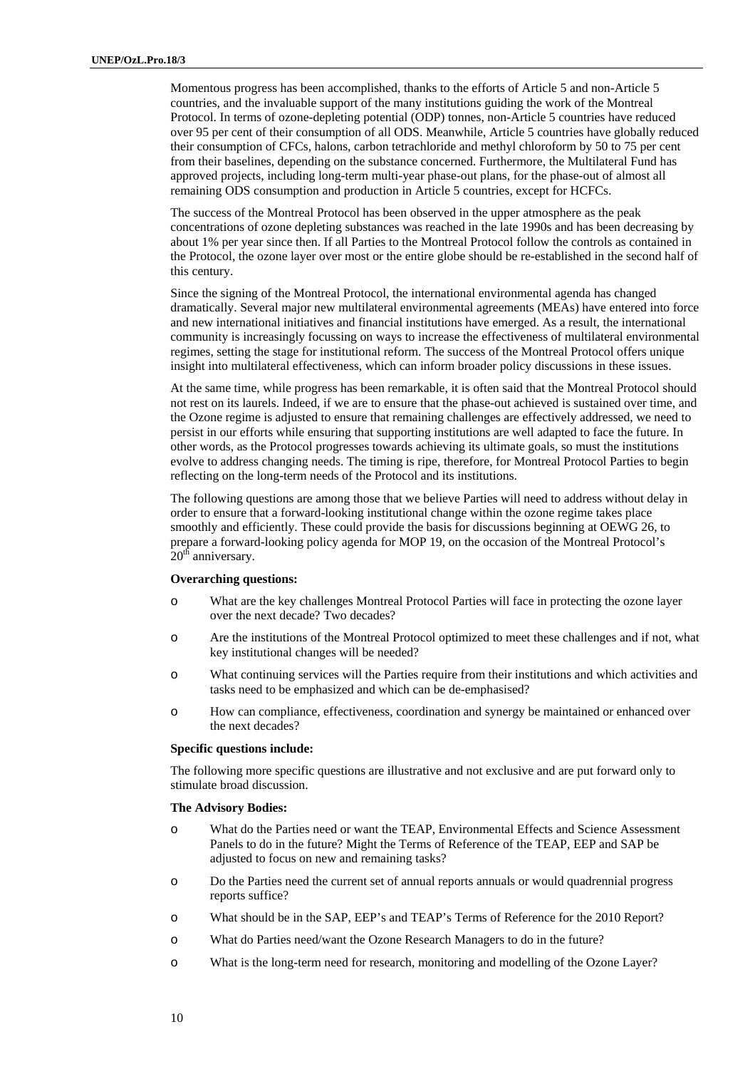Momentous progress has been accomplished, thanks to the efforts of Article 5 and non-Article 5 countries, and the invaluable support of the many institutions guiding the work of the Montreal Protocol. In terms of ozone-depleting potential (ODP) tonnes, non-Article 5 countries have reduced over 95 per cent of their consumption of all ODS. Meanwhile, Article 5 countries have globally reduced their consumption of CFCs, halons, carbon tetrachloride and methyl chloroform by 50 to 75 per cent from their baselines, depending on the substance concerned. Furthermore, the Multilateral Fund has approved projects, including long-term multi-year phase-out plans, for the phase-out of almost all remaining ODS consumption and production in Article 5 countries, except for HCFCs.

The success of the Montreal Protocol has been observed in the upper atmosphere as the peak concentrations of ozone depleting substances was reached in the late 1990s and has been decreasing by about 1% per year since then. If all Parties to the Montreal Protocol follow the controls as contained in the Protocol, the ozone layer over most or the entire globe should be re-established in the second half of this century.

Since the signing of the Montreal Protocol, the international environmental agenda has changed dramatically. Several major new multilateral environmental agreements (MEAs) have entered into force and new international initiatives and financial institutions have emerged. As a result, the international community is increasingly focussing on ways to increase the effectiveness of multilateral environmental regimes, setting the stage for institutional reform. The success of the Montreal Protocol offers unique insight into multilateral effectiveness, which can inform broader policy discussions in these issues.

At the same time, while progress has been remarkable, it is often said that the Montreal Protocol should not rest on its laurels. Indeed, if we are to ensure that the phase-out achieved is sustained over time, and the Ozone regime is adjusted to ensure that remaining challenges are effectively addressed, we need to persist in our efforts while ensuring that supporting institutions are well adapted to face the future. In other words, as the Protocol progresses towards achieving its ultimate goals, so must the institutions evolve to address changing needs. The timing is ripe, therefore, for Montreal Protocol Parties to begin reflecting on the long-term needs of the Protocol and its institutions.

The following questions are among those that we believe Parties will need to address without delay in order to ensure that a forward-looking institutional change within the ozone regime takes place smoothly and efficiently. These could provide the basis for discussions beginning at OEWG 26, to prepare a forward-looking policy agenda for MOP 19, on the occasion of the Montreal Protocol's  $20<sup>th</sup>$  anniversary.

#### **Overarching questions:**

- o What are the key challenges Montreal Protocol Parties will face in protecting the ozone layer over the next decade? Two decades?
- o Are the institutions of the Montreal Protocol optimized to meet these challenges and if not, what key institutional changes will be needed?
- o What continuing services will the Parties require from their institutions and which activities and tasks need to be emphasized and which can be de-emphasised?
- o How can compliance, effectiveness, coordination and synergy be maintained or enhanced over the next decades?

#### **Specific questions include:**

The following more specific questions are illustrative and not exclusive and are put forward only to stimulate broad discussion.

#### **The Advisory Bodies:**

- o What do the Parties need or want the TEAP, Environmental Effects and Science Assessment Panels to do in the future? Might the Terms of Reference of the TEAP, EEP and SAP be adjusted to focus on new and remaining tasks?
- o Do the Parties need the current set of annual reports annuals or would quadrennial progress reports suffice?
- o What should be in the SAP, EEP's and TEAP's Terms of Reference for the 2010 Report?
- o What do Parties need/want the Ozone Research Managers to do in the future?
- o What is the long-term need for research, monitoring and modelling of the Ozone Layer?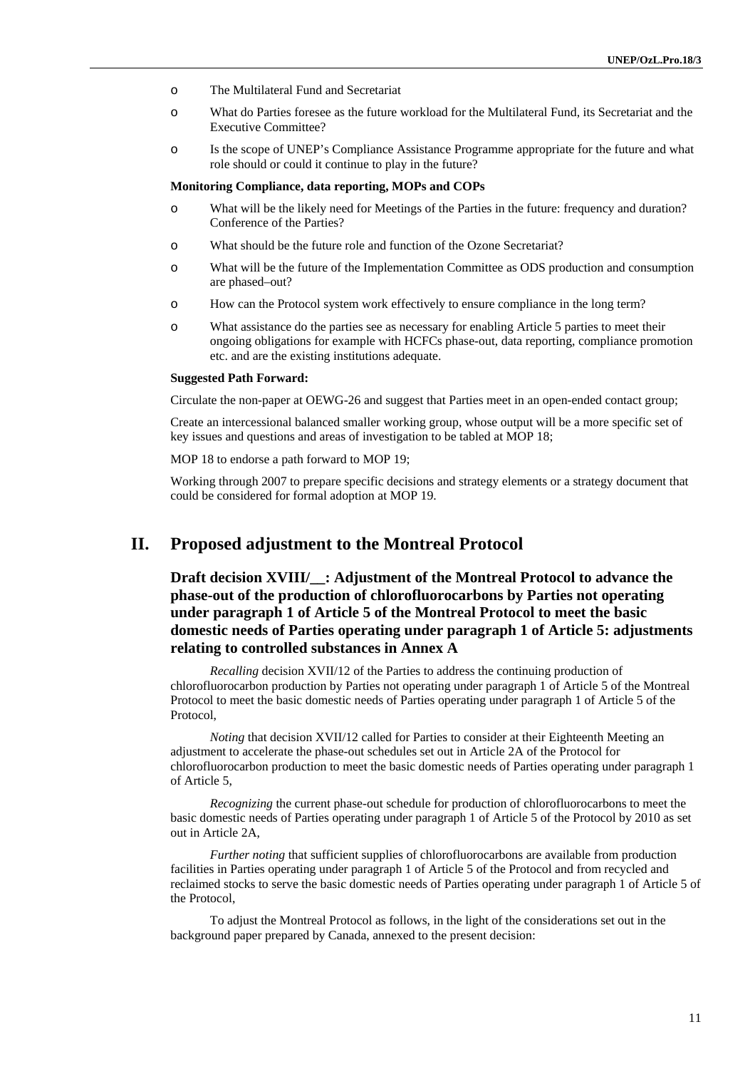- o The Multilateral Fund and Secretariat
- o What do Parties foresee as the future workload for the Multilateral Fund, its Secretariat and the Executive Committee?
- o Is the scope of UNEP's Compliance Assistance Programme appropriate for the future and what role should or could it continue to play in the future?

#### **Monitoring Compliance, data reporting, MOPs and COPs**

- o What will be the likely need for Meetings of the Parties in the future: frequency and duration? Conference of the Parties?
- o What should be the future role and function of the Ozone Secretariat?
- o What will be the future of the Implementation Committee as ODS production and consumption are phased–out?
- o How can the Protocol system work effectively to ensure compliance in the long term?
- o What assistance do the parties see as necessary for enabling Article 5 parties to meet their ongoing obligations for example with HCFCs phase-out, data reporting, compliance promotion etc. and are the existing institutions adequate.

#### **Suggested Path Forward:**

Circulate the non-paper at OEWG-26 and suggest that Parties meet in an open-ended contact group;

Create an intercessional balanced smaller working group, whose output will be a more specific set of key issues and questions and areas of investigation to be tabled at MOP 18;

MOP 18 to endorse a path forward to MOP 19;

Working through 2007 to prepare specific decisions and strategy elements or a strategy document that could be considered for formal adoption at MOP 19.

### **II. Proposed adjustment to the Montreal Protocol**

**Draft decision XVIII/**: Adjustment of the Montreal Protocol to advance the **phase-out of the production of chlorofluorocarbons by Parties not operating under paragraph 1 of Article 5 of the Montreal Protocol to meet the basic domestic needs of Parties operating under paragraph 1 of Article 5: adjustments relating to controlled substances in Annex A** 

*Recalling* decision XVII/12 of the Parties to address the continuing production of chlorofluorocarbon production by Parties not operating under paragraph 1 of Article 5 of the Montreal Protocol to meet the basic domestic needs of Parties operating under paragraph 1 of Article 5 of the Protocol,

*Noting* that decision XVII/12 called for Parties to consider at their Eighteenth Meeting an adjustment to accelerate the phase-out schedules set out in Article 2A of the Protocol for chlorofluorocarbon production to meet the basic domestic needs of Parties operating under paragraph 1 of Article 5,

*Recognizing* the current phase-out schedule for production of chlorofluorocarbons to meet the basic domestic needs of Parties operating under paragraph 1 of Article 5 of the Protocol by 2010 as set out in Article 2A,

*Further noting* that sufficient supplies of chlorofluorocarbons are available from production facilities in Parties operating under paragraph 1 of Article 5 of the Protocol and from recycled and reclaimed stocks to serve the basic domestic needs of Parties operating under paragraph 1 of Article 5 of the Protocol,

To adjust the Montreal Protocol as follows, in the light of the considerations set out in the background paper prepared by Canada, annexed to the present decision: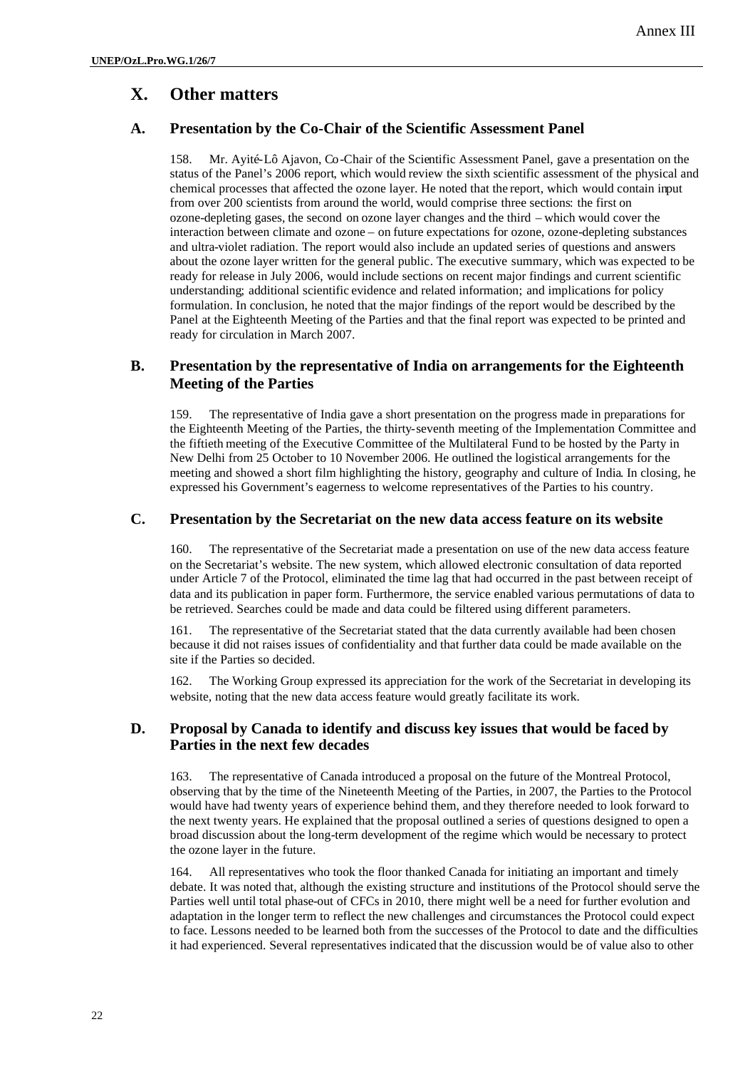### **X. Other matters**

### **A. Presentation by the Co-Chair of the Scientific Assessment Panel**

158. Mr. Ayité-Lô Ajavon, Co-Chair of the Scientific Assessment Panel, gave a presentation on the status of the Panel's 2006 report, which would review the sixth scientific assessment of the physical and chemical processes that affected the ozone layer. He noted that the report, which would contain input from over 200 scientists from around the world, would comprise three sections: the first on ozone-depleting gases, the second on ozone layer changes and the third – which would cover the interaction between climate and ozone – on future expectations for ozone, ozone-depleting substances and ultra-violet radiation. The report would also include an updated series of questions and answers about the ozone layer written for the general public. The executive summary, which was expected to be ready for release in July 2006, would include sections on recent major findings and current scientific understanding; additional scientific evidence and related information; and implications for policy formulation. In conclusion, he noted that the major findings of the report would be described by the Panel at the Eighteenth Meeting of the Parties and that the final report was expected to be printed and ready for circulation in March 2007.

### **B. Presentation by the representative of India on arrangements for the Eighteenth Meeting of the Parties**

159. The representative of India gave a short presentation on the progress made in preparations for the Eighteenth Meeting of the Parties, the thirty-seventh meeting of the Implementation Committee and the fiftieth meeting of the Executive Committee of the Multilateral Fund to be hosted by the Party in New Delhi from 25 October to 10 November 2006. He outlined the logistical arrangements for the meeting and showed a short film highlighting the history, geography and culture of India. In closing, he expressed his Government's eagerness to welcome representatives of the Parties to his country.

### **C. Presentation by the Secretariat on the new data access feature on its website**

160. The representative of the Secretariat made a presentation on use of the new data access feature on the Secretariat's website. The new system, which allowed electronic consultation of data reported under Article 7 of the Protocol, eliminated the time lag that had occurred in the past between receipt of data and its publication in paper form. Furthermore, the service enabled various permutations of data to be retrieved. Searches could be made and data could be filtered using different parameters.

161. The representative of the Secretariat stated that the data currently available had been chosen because it did not raises issues of confidentiality and that further data could be made available on the site if the Parties so decided.

162. The Working Group expressed its appreciation for the work of the Secretariat in developing its website, noting that the new data access feature would greatly facilitate its work.

#### **D. Proposal by Canada to identify and discuss key issues that would be faced by Parties in the next few decades**

163. The representative of Canada introduced a proposal on the future of the Montreal Protocol, observing that by the time of the Nineteenth Meeting of the Parties, in 2007, the Parties to the Protocol would have had twenty years of experience behind them, and they therefore needed to look forward to the next twenty years. He explained that the proposal outlined a series of questions designed to open a broad discussion about the long-term development of the regime which would be necessary to protect the ozone layer in the future.

164. All representatives who took the floor thanked Canada for initiating an important and timely debate. It was noted that, although the existing structure and institutions of the Protocol should serve the Parties well until total phase-out of CFCs in 2010, there might well be a need for further evolution and adaptation in the longer term to reflect the new challenges and circumstances the Protocol could expect to face. Lessons needed to be learned both from the successes of the Protocol to date and the difficulties it had experienced. Several representatives indicated that the discussion would be of value also to other